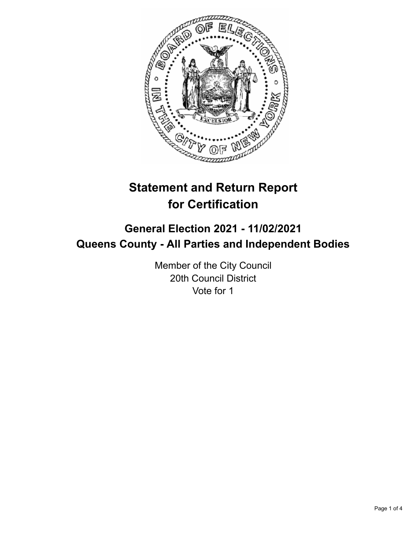

# **Statement and Return Report for Certification**

# **General Election 2021 - 11/02/2021 Queens County - All Parties and Independent Bodies**

Member of the City Council 20th Council District Vote for 1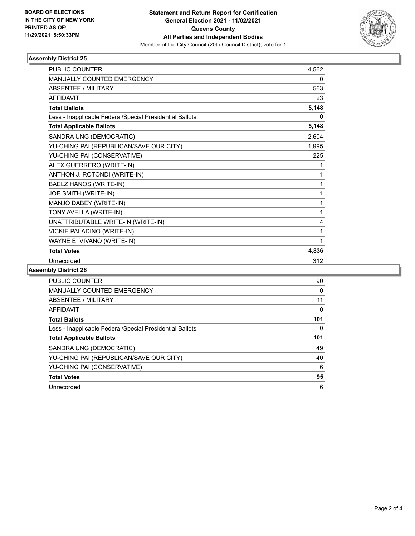

## **Assembly District 25**

| <b>PUBLIC COUNTER</b>                                    | 4,562 |
|----------------------------------------------------------|-------|
| <b>MANUALLY COUNTED EMERGENCY</b>                        | 0     |
| <b>ABSENTEE / MILITARY</b>                               | 563   |
| <b>AFFIDAVIT</b>                                         | 23    |
| <b>Total Ballots</b>                                     | 5,148 |
| Less - Inapplicable Federal/Special Presidential Ballots | 0     |
| <b>Total Applicable Ballots</b>                          | 5,148 |
| SANDRA UNG (DEMOCRATIC)                                  | 2,604 |
| YU-CHING PAI (REPUBLICAN/SAVE OUR CITY)                  | 1,995 |
| YU-CHING PAI (CONSERVATIVE)                              | 225   |
| ALEX GUERRERO (WRITE-IN)                                 | 1     |
| ANTHON J. ROTONDI (WRITE-IN)                             | 1     |
| BAELZ HANOS (WRITE-IN)                                   | 1     |
| JOE SMITH (WRITE-IN)                                     | 1     |
| MANJO DABEY (WRITE-IN)                                   | 1     |
| TONY AVELLA (WRITE-IN)                                   | 1     |
| UNATTRIBUTABLE WRITE-IN (WRITE-IN)                       | 4     |
| VICKIE PALADINO (WRITE-IN)                               | 1     |
| WAYNE E. VIVANO (WRITE-IN)                               | 1     |
| <b>Total Votes</b>                                       | 4,836 |
| Unrecorded                                               | 312   |

#### **Assembly District 26**

| <b>PUBLIC COUNTER</b>                                    | 90  |
|----------------------------------------------------------|-----|
| <b>MANUALLY COUNTED EMERGENCY</b>                        | 0   |
| ABSENTEE / MILITARY                                      | 11  |
| AFFIDAVIT                                                | 0   |
| <b>Total Ballots</b>                                     | 101 |
| Less - Inapplicable Federal/Special Presidential Ballots | 0   |
|                                                          |     |
| <b>Total Applicable Ballots</b>                          | 101 |
| SANDRA UNG (DEMOCRATIC)                                  | 49  |
| YU-CHING PAI (REPUBLICAN/SAVE OUR CITY)                  | 40  |
| YU-CHING PAI (CONSERVATIVE)                              | 6   |
| <b>Total Votes</b>                                       | 95  |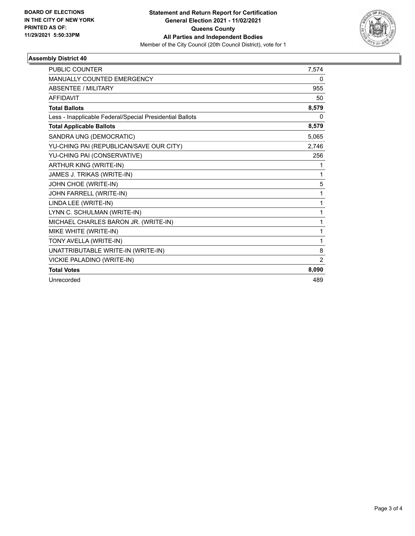

## **Assembly District 40**

| <b>PUBLIC COUNTER</b>                                    | 7,574 |
|----------------------------------------------------------|-------|
| <b>MANUALLY COUNTED EMERGENCY</b>                        | 0     |
| <b>ABSENTEE / MILITARY</b>                               | 955   |
| <b>AFFIDAVIT</b>                                         | 50    |
| <b>Total Ballots</b>                                     | 8,579 |
| Less - Inapplicable Federal/Special Presidential Ballots | 0     |
| <b>Total Applicable Ballots</b>                          | 8,579 |
| SANDRA UNG (DEMOCRATIC)                                  | 5,065 |
| YU-CHING PAI (REPUBLICAN/SAVE OUR CITY)                  | 2,746 |
| YU-CHING PAI (CONSERVATIVE)                              | 256   |
| <b>ARTHUR KING (WRITE-IN)</b>                            | 1     |
| JAMES J. TRIKAS (WRITE-IN)                               | 1     |
| JOHN CHOE (WRITE-IN)                                     | 5     |
| JOHN FARRELL (WRITE-IN)                                  | 1     |
| LINDA LEE (WRITE-IN)                                     | 1     |
| LYNN C. SCHULMAN (WRITE-IN)                              | 1     |
| MICHAEL CHARLES BARON JR. (WRITE-IN)                     | 1     |
| MIKE WHITE (WRITE-IN)                                    | 1     |
| TONY AVELLA (WRITE-IN)                                   | 1     |
| UNATTRIBUTABLE WRITE-IN (WRITE-IN)                       | 8     |
| VICKIE PALADINO (WRITE-IN)                               | 2     |
| <b>Total Votes</b>                                       | 8,090 |
| Unrecorded                                               | 489   |